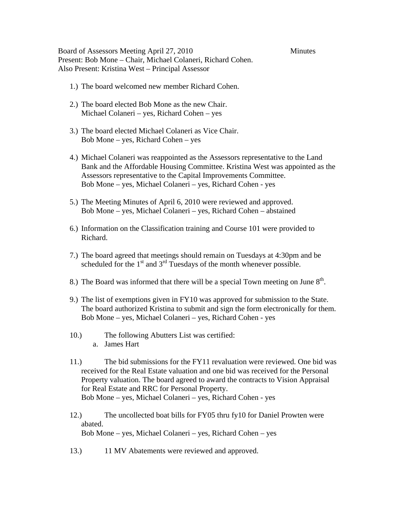Board of Assessors Meeting April 27, 2010 Minutes Present: Bob Mone – Chair, Michael Colaneri, Richard Cohen. Also Present: Kristina West – Principal Assessor

- 1.) The board welcomed new member Richard Cohen.
- 2.) The board elected Bob Mone as the new Chair. Michael Colaneri – yes, Richard Cohen – yes
- 3.) The board elected Michael Colaneri as Vice Chair. Bob Mone – yes, Richard Cohen – yes
- 4.) Michael Colaneri was reappointed as the Assessors representative to the Land Bank and the Affordable Housing Committee. Kristina West was appointed as the Assessors representative to the Capital Improvements Committee. Bob Mone – yes, Michael Colaneri – yes, Richard Cohen - yes
- 5.) The Meeting Minutes of April 6, 2010 were reviewed and approved. Bob Mone – yes, Michael Colaneri – yes, Richard Cohen – abstained
- 6.) Information on the Classification training and Course 101 were provided to Richard.
- 7.) The board agreed that meetings should remain on Tuesdays at 4:30pm and be scheduled for the  $1<sup>st</sup>$  and  $3<sup>rd</sup>$  Tuesdays of the month whenever possible.
- 8.) The Board was informed that there will be a special Town meeting on June  $8<sup>th</sup>$ .
- 9.) The list of exemptions given in FY10 was approved for submission to the State. The board authorized Kristina to submit and sign the form electronically for them. Bob Mone – yes, Michael Colaneri – yes, Richard Cohen - yes
- 10.) The following Abutters List was certified: a. James Hart
- 11.) The bid submissions for the FY11 revaluation were reviewed. One bid was received for the Real Estate valuation and one bid was received for the Personal Property valuation. The board agreed to award the contracts to Vision Appraisal for Real Estate and RRC for Personal Property. Bob Mone – yes, Michael Colaneri – yes, Richard Cohen - yes
- 12.) The uncollected boat bills for FY05 thru fy10 for Daniel Prowten were abated. Bob Mone – yes, Michael Colaneri – yes, Richard Cohen – yes
- 13.) 11 MV Abatements were reviewed and approved.